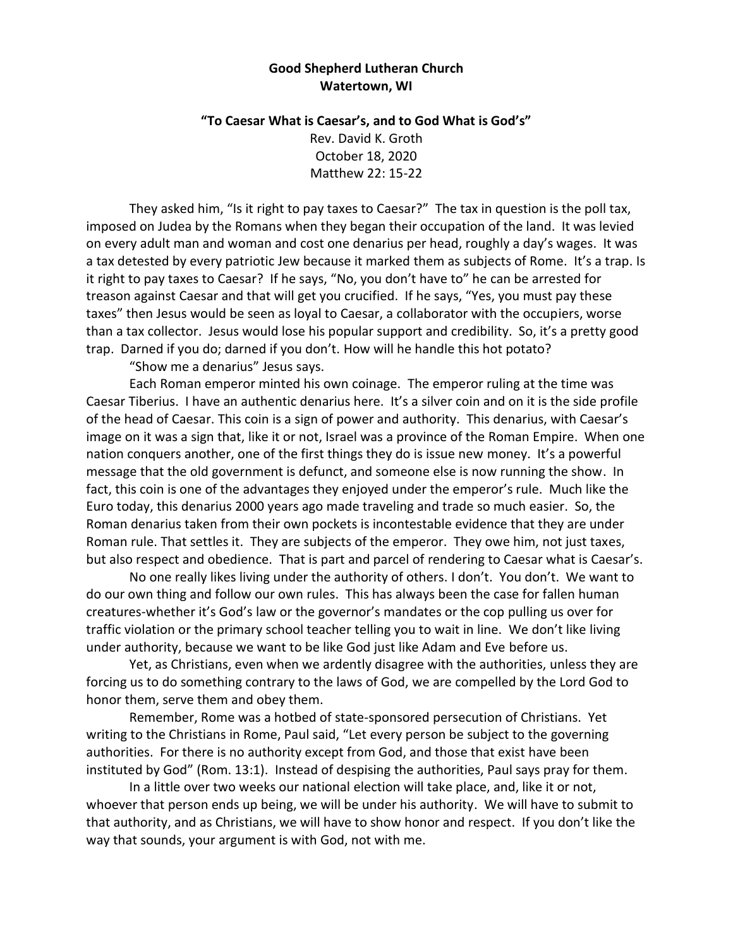## **Good Shepherd Lutheran Church Watertown, WI**

## **"To Caesar What is Caesar's, and to God What is God's"**

Rev. David K. Groth October 18, 2020 Matthew 22: 15-22

They asked him, "Is it right to pay taxes to Caesar?" The tax in question is the poll tax, imposed on Judea by the Romans when they began their occupation of the land. It was levied on every adult man and woman and cost one denarius per head, roughly a day's wages. It was a tax detested by every patriotic Jew because it marked them as subjects of Rome. It's a trap. Is it right to pay taxes to Caesar? If he says, "No, you don't have to" he can be arrested for treason against Caesar and that will get you crucified. If he says, "Yes, you must pay these taxes" then Jesus would be seen as loyal to Caesar, a collaborator with the occupiers, worse than a tax collector. Jesus would lose his popular support and credibility. So, it's a pretty good trap. Darned if you do; darned if you don't. How will he handle this hot potato?

"Show me a denarius" Jesus says.

Each Roman emperor minted his own coinage. The emperor ruling at the time was Caesar Tiberius. I have an authentic denarius here. It's a silver coin and on it is the side profile of the head of Caesar. This coin is a sign of power and authority. This denarius, with Caesar's image on it was a sign that, like it or not, Israel was a province of the Roman Empire. When one nation conquers another, one of the first things they do is issue new money. It's a powerful message that the old government is defunct, and someone else is now running the show. In fact, this coin is one of the advantages they enjoyed under the emperor's rule. Much like the Euro today, this denarius 2000 years ago made traveling and trade so much easier. So, the Roman denarius taken from their own pockets is incontestable evidence that they are under Roman rule. That settles it. They are subjects of the emperor. They owe him, not just taxes, but also respect and obedience. That is part and parcel of rendering to Caesar what is Caesar's.

No one really likes living under the authority of others. I don't. You don't. We want to do our own thing and follow our own rules. This has always been the case for fallen human creatures-whether it's God's law or the governor's mandates or the cop pulling us over for traffic violation or the primary school teacher telling you to wait in line. We don't like living under authority, because we want to be like God just like Adam and Eve before us.

Yet, as Christians, even when we ardently disagree with the authorities, unless they are forcing us to do something contrary to the laws of God, we are compelled by the Lord God to honor them, serve them and obey them.

Remember, Rome was a hotbed of state-sponsored persecution of Christians. Yet writing to the Christians in Rome, Paul said, "Let every person be subject to the governing authorities. For there is no authority except from God, and those that exist have been instituted by God" (Rom. 13:1). Instead of despising the authorities, Paul says pray for them.

In a little over two weeks our national election will take place, and, like it or not, whoever that person ends up being, we will be under his authority. We will have to submit to that authority, and as Christians, we will have to show honor and respect. If you don't like the way that sounds, your argument is with God, not with me.